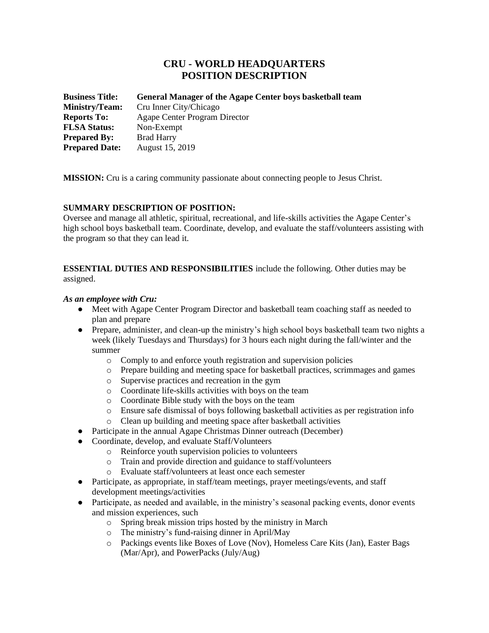# **CRU - WORLD HEADQUARTERS POSITION DESCRIPTION**

| <b>Business Title:</b> | <b>General Manager of the Agape Center boys basketball team</b> |
|------------------------|-----------------------------------------------------------------|
| Ministry/Team:         | Cru Inner City/Chicago                                          |
| <b>Reports To:</b>     | Agape Center Program Director                                   |
| <b>FLSA Status:</b>    | Non-Exempt                                                      |
| <b>Prepared By:</b>    | <b>Brad Harry</b>                                               |
| <b>Prepared Date:</b>  | August 15, 2019                                                 |

**MISSION:** Cru is a caring community passionate about connecting people to Jesus Christ.

# **SUMMARY DESCRIPTION OF POSITION:**

Oversee and manage all athletic, spiritual, recreational, and life-skills activities the Agape Center's high school boys basketball team. Coordinate, develop, and evaluate the staff/volunteers assisting with the program so that they can lead it.

**ESSENTIAL DUTIES AND RESPONSIBILITIES** include the following. Other duties may be assigned.

#### *As an employee with Cru:*

- Meet with Agape Center Program Director and basketball team coaching staff as needed to plan and prepare
- Prepare, administer, and clean-up the ministry's high school boys basketball team two nights a week (likely Tuesdays and Thursdays) for 3 hours each night during the fall/winter and the summer
	- o Comply to and enforce youth registration and supervision policies
	- o Prepare building and meeting space for basketball practices, scrimmages and games
	- o Supervise practices and recreation in the gym
	- o Coordinate life-skills activities with boys on the team
	- o Coordinate Bible study with the boys on the team
	- o Ensure safe dismissal of boys following basketball activities as per registration info
	- o Clean up building and meeting space after basketball activities
- **Participate in the annual Agape Christmas Dinner outreach (December)**
- Coordinate, develop, and evaluate Staff/Volunteers
	- o Reinforce youth supervision policies to volunteers
	- o Train and provide direction and guidance to staff/volunteers
	- o Evaluate staff/volunteers at least once each semester
- Participate, as appropriate, in staff/team meetings, prayer meetings/events, and staff development meetings/activities
- Participate, as needed and available, in the ministry's seasonal packing events, donor events and mission experiences, such
	- o Spring break mission trips hosted by the ministry in March
	- o The ministry's fund-raising dinner in April/May
	- o Packings events like Boxes of Love (Nov), Homeless Care Kits (Jan), Easter Bags (Mar/Apr), and PowerPacks (July/Aug)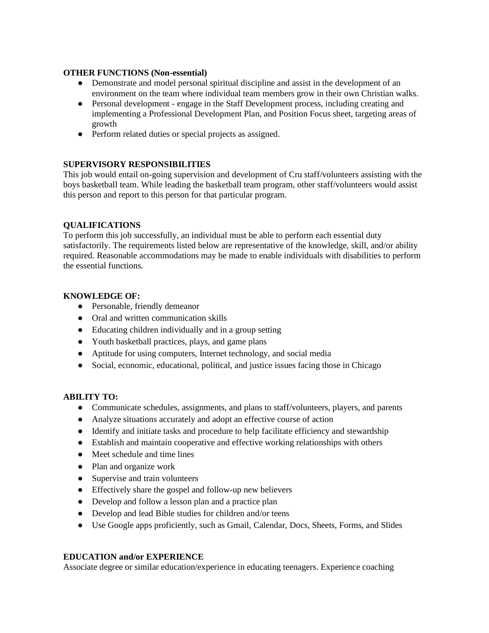### **OTHER FUNCTIONS (Non-essential)**

- Demonstrate and model personal spiritual discipline and assist in the development of an environment on the team where individual team members grow in their own Christian walks.
- Personal development engage in the Staff Development process, including creating and implementing a Professional Development Plan, and Position Focus sheet, targeting areas of growth
- Perform related duties or special projects as assigned.

# **SUPERVISORY RESPONSIBILITIES**

This job would entail on-going supervision and development of Cru staff/volunteers assisting with the boys basketball team. While leading the basketball team program, other staff/volunteers would assist this person and report to this person for that particular program.

# **QUALIFICATIONS**

To perform this job successfully, an individual must be able to perform each essential duty satisfactorily. The requirements listed below are representative of the knowledge, skill, and/or ability required. Reasonable accommodations may be made to enable individuals with disabilities to perform the essential functions.

# **KNOWLEDGE OF:**

- Personable, friendly demeanor
- Oral and written communication skills
- Educating children individually and in a group setting
- Youth basketball practices, plays, and game plans
- Aptitude for using computers, Internet technology, and social media
- Social, economic, educational, political, and justice issues facing those in Chicago

### **ABILITY TO:**

- Communicate schedules, assignments, and plans to staff/volunteers, players, and parents
- Analyze situations accurately and adopt an effective course of action
- Identify and initiate tasks and procedure to help facilitate efficiency and stewardship
- Establish and maintain cooperative and effective working relationships with others
- Meet schedule and time lines
- Plan and organize work
- Supervise and train volunteers
- Effectively share the gospel and follow-up new believers
- Develop and follow a lesson plan and a practice plan
- Develop and lead Bible studies for children and/or teens
- Use Google apps proficiently, such as Gmail, Calendar, Docs, Sheets, Forms, and Slides

### **EDUCATION and/or EXPERIENCE**

Associate degree or similar education/experience in educating teenagers. Experience coaching